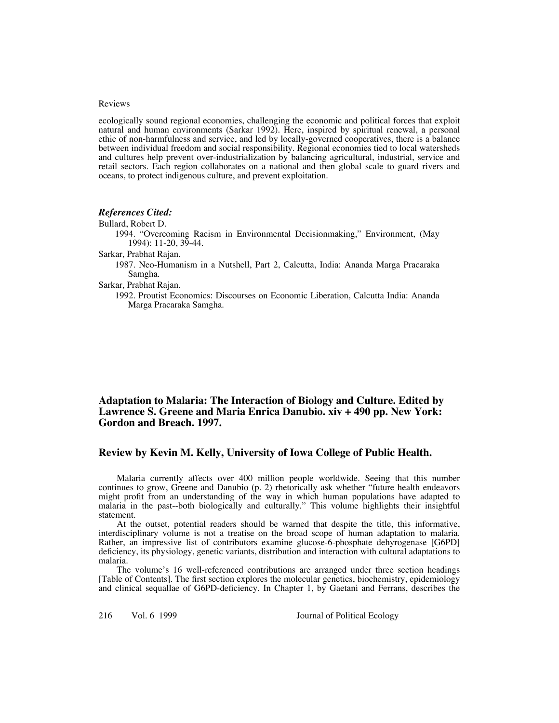#### Reviews

ecologically sound regional economies, challenging the economic and political forces that exploit natural and human environments (Sarkar 1992). Here, inspired by spiritual renewal, a personal ethic of non-harmfulness and service, and led by locally-governed cooperatives, there is a balance between individual freedom and social responsibility. Regional economies tied to local watersheds and cultures help prevent over-industrialization by balancing agricultural, industrial, service and retail sectors. Each region collaborates on a national and then global scale to guard rivers and oceans, to protect indigenous culture, and prevent exploitation.

## *References Cited:*

Bullard, Robert D. 1994. "Overcoming Racism in Environmental Decisionmaking," Environment, (May 1994): 11-20, 39-44. Sarkar, Prabhat Rajan. 1987. Neo-Humanism in a Nutshell, Part 2, Calcutta, India: Ananda Marga Pracaraka Samgha.

Sarkar, Prabhat Rajan.

1992. Proutist Economics: Discourses on Economic Liberation, Calcutta India: Ananda Marga Pracaraka Samgha.

# **Adaptation to Malaria: The Interaction of Biology and Culture. Edited by Lawrence S. Greene and Maria Enrica Danubio. xiv + 490 pp. New York: Gordon and Breach. 1997.**

## **Review by Kevin M. Kelly, University of Iowa College of Public Health.**

Malaria currently affects over 400 million people worldwide. Seeing that this number continues to grow, Greene and Danubio (p. 2) rhetorically ask whether "future health endeavors might profit from an understanding of the way in which human populations have adapted to malaria in the past--both biologically and culturally." This volume highlights their insightful statement.

At the outset, potential readers should be warned that despite the title, this informative, interdisciplinary volume is not a treatise on the broad scope of human adaptation to malaria. Rather, an impressive list of contributors examine glucose-6-phosphate dehyrogenase [G6PD] deficiency, its physiology, genetic variants, distribution and interaction with cultural adaptations to malaria.

The volume's 16 well-referenced contributions are arranged under three section headings [Table of Contents]. The first section explores the molecular genetics, biochemistry, epidemiology and clinical sequallae of G6PD-deficiency. In Chapter 1, by Gaetani and Ferrans, describes the

216 Vol. 6 1999 Journal of Political Ecology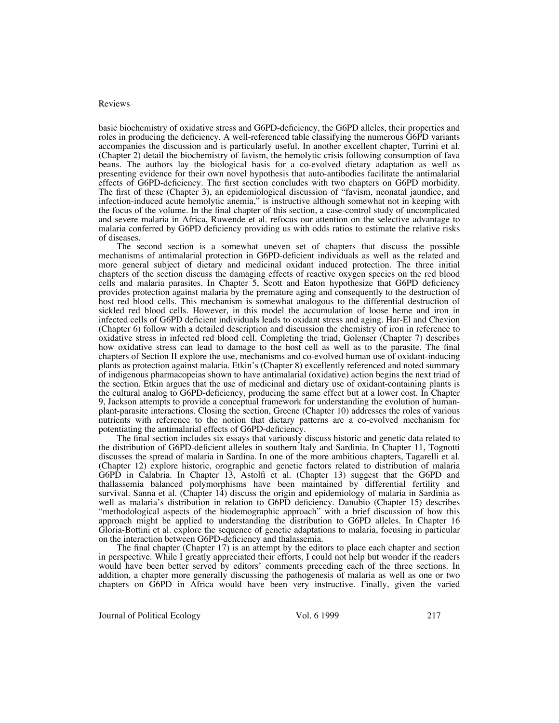### Reviews

basic biochemistry of oxidative stress and G6PD-deficiency, the G6PD alleles, their properties and roles in producing the deficiency. A well-referenced table classifying the numerous G6PD variants accompanies the discussion and is particularly useful. In another excellent chapter, Turrini et al. (Chapter 2) detail the biochemistry of favism, the hemolytic crisis following consumption of fava beans. The authors lay the biological basis for a co-evolved dietary adaptation as well as presenting evidence for their own novel hypothesis that auto-antibodies facilitate the antimalarial effects of G6PD-deficiency. The first section concludes with two chapters on G6PD morbidity. The first of these (Chapter 3), an epidemiological discussion of "favism, neonatal jaundice, and infection-induced acute hemolytic anemia," is instructive although somewhat not in keeping with the focus of the volume. In the final chapter of this section, a case-control study of uncomplicated and severe malaria in Africa, Ruwende et al. refocus our attention on the selective advantage to malaria conferred by G6PD deficiency providing us with odds ratios to estimate the relative risks of diseases.

The second section is a somewhat uneven set of chapters that discuss the possible mechanisms of antimalarial protection in G6PD-deficient individuals as well as the related and more general subject of dietary and medicinal oxidant induced protection. The three initial chapters of the section discuss the damaging effects of reactive oxygen species on the red blood cells and malaria parasites. In Chapter 5, Scott and Eaton hypothesize that G6PD deficiency provides protection against malaria by the premature aging and consequently to the destruction of host red blood cells. This mechanism is somewhat analogous to the differential destruction of sickled red blood cells. However, in this model the accumulation of loose heme and iron in infected cells of G6PD deficient individuals leads to oxidant stress and aging. Har-El and Chevion (Chapter 6) follow with a detailed description and discussion the chemistry of iron in reference to oxidative stress in infected red blood cell. Completing the triad, Golenser (Chapter 7) describes how oxidative stress can lead to damage to the host cell as well as to the parasite. The final chapters of Section II explore the use, mechanisms and co-evolved human use of oxidant-inducing plants as protection against malaria. Etkin's (Chapter 8) excellently referenced and noted summary of indigenous pharmacopeias shown to have antimalarial (oxidative) action begins the next triad of the section. Etkin argues that the use of medicinal and dietary use of oxidant-containing plants is the cultural analog to G6PD-deficiency, producing the same effect but at a lower cost. In Chapter 9, Jackson attempts to provide a conceptual framework for understanding the evolution of humanplant-parasite interactions. Closing the section, Greene (Chapter 10) addresses the roles of various nutrients with reference to the notion that dietary patterns are a co-evolved mechanism for potentiating the antimalarial effects of G6PD-deficiency.

The final section includes six essays that variously discuss historic and genetic data related to the distribution of G6PD-deficient alleles in southern Italy and Sardinia. In Chapter 11, Tognotti discusses the spread of malaria in Sardina. In one of the more ambitious chapters, Tagarelli et al. (Chapter 12) explore historic, orographic and genetic factors related to distribution of malaria G6PD in Calabria. In Chapter 13, Astolfi et al. (Chapter 13) suggest that the G6PD and thallassemia balanced polymorphisms have been maintained by differential fertility and survival. Sanna et al. (Chapter 14) discuss the origin and epidemiology of malaria in Sardinia as well as malaria's distribution in relation to G6PD deficiency. Danubio (Chapter 15) describes "methodological aspects of the biodemographic approach" with a brief discussion of how this approach might be applied to understanding the distribution to G6PD alleles. In Chapter 16 Gloria-Bottini et al. explore the sequence of genetic adaptations to malaria, focusing in particular on the interaction between G6PD-deficiency and thalassemia.

The final chapter (Chapter 17) is an attempt by the editors to place each chapter and section in perspective. While I greatly appreciated their efforts, I could not help but wonder if the readers would have been better served by editors' comments preceding each of the three sections. In addition, a chapter more generally discussing the pathogenesis of malaria as well as one or two chapters on G6PD in Africa would have been very instructive. Finally, given the varied

Journal of Political Ecology Vol. 6 1999 217